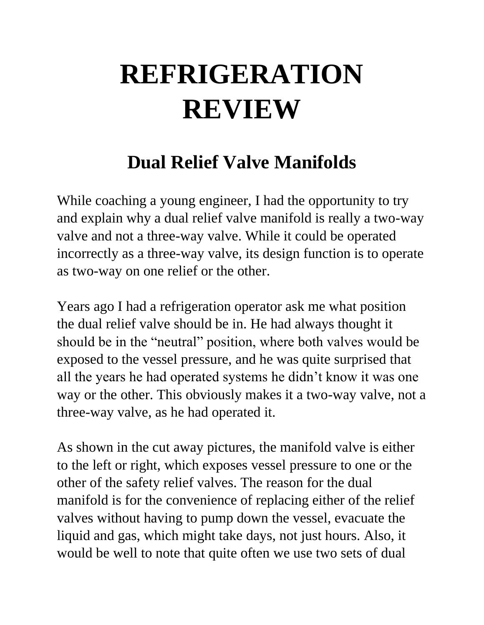## **REFRIGERATION REVIEW**

## **Dual Relief Valve Manifolds**

While coaching a young engineer, I had the opportunity to try and explain why a dual relief valve manifold is really a two-way valve and not a three-way valve. While it could be operated incorrectly as a three-way valve, its design function is to operate as two-way on one relief or the other.

Years ago I had a refrigeration operator ask me what position the dual relief valve should be in. He had always thought it should be in the "neutral" position, where both valves would be exposed to the vessel pressure, and he was quite surprised that all the years he had operated systems he didn't know it was one way or the other. This obviously makes it a two-way valve, not a three-way valve, as he had operated it.

As shown in the cut away pictures, the manifold valve is either to the left or right, which exposes vessel pressure to one or the other of the safety relief valves. The reason for the dual manifold is for the convenience of replacing either of the relief valves without having to pump down the vessel, evacuate the liquid and gas, which might take days, not just hours. Also, it would be well to note that quite often we use two sets of dual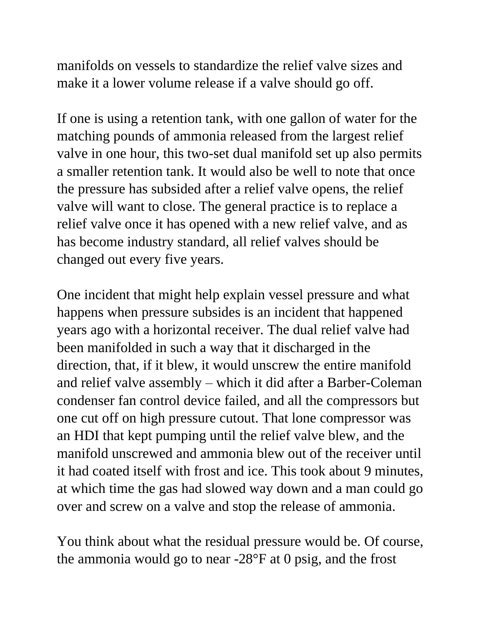manifolds on vessels to standardize the relief valve sizes and make it a lower volume release if a valve should go off.

If one is using a retention tank, with one gallon of water for the matching pounds of ammonia released from the largest relief valve in one hour, this two-set dual manifold set up also permits a smaller retention tank. It would also be well to note that once the pressure has subsided after a relief valve opens, the relief valve will want to close. The general practice is to replace a relief valve once it has opened with a new relief valve, and as has become industry standard, all relief valves should be changed out every five years.

One incident that might help explain vessel pressure and what happens when pressure subsides is an incident that happened years ago with a horizontal receiver. The dual relief valve had been manifolded in such a way that it discharged in the direction, that, if it blew, it would unscrew the entire manifold and relief valve assembly – which it did after a Barber-Coleman condenser fan control device failed, and all the compressors but one cut off on high pressure cutout. That lone compressor was an HDI that kept pumping until the relief valve blew, and the manifold unscrewed and ammonia blew out of the receiver until it had coated itself with frost and ice. This took about 9 minutes, at which time the gas had slowed way down and a man could go over and screw on a valve and stop the release of ammonia.

You think about what the residual pressure would be. Of course, the ammonia would go to near -28°F at 0 psig, and the frost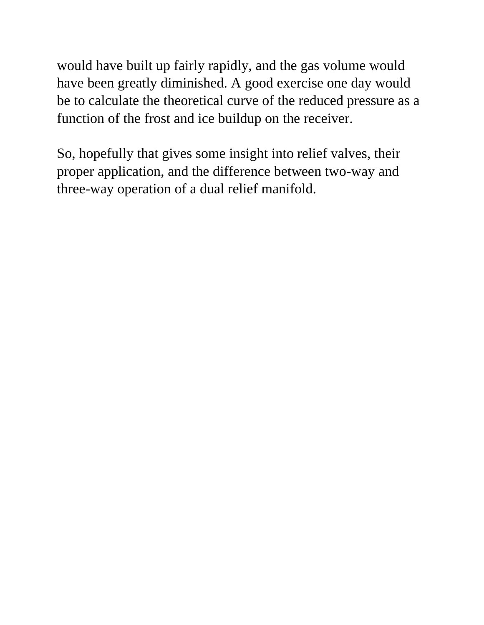would have built up fairly rapidly, and the gas volume would have been greatly diminished. A good exercise one day would be to calculate the theoretical curve of the reduced pressure as a function of the frost and ice buildup on the receiver.

So, hopefully that gives some insight into relief valves, their proper application, and the difference between two-way and three-way operation of a dual relief manifold.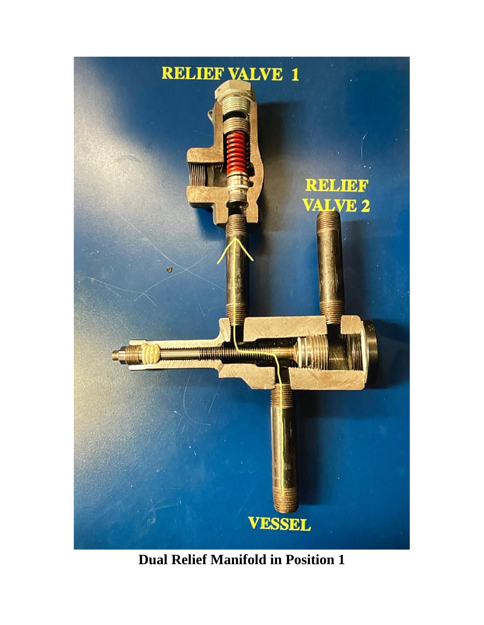

**Dual Relief Manifold in Position 1**